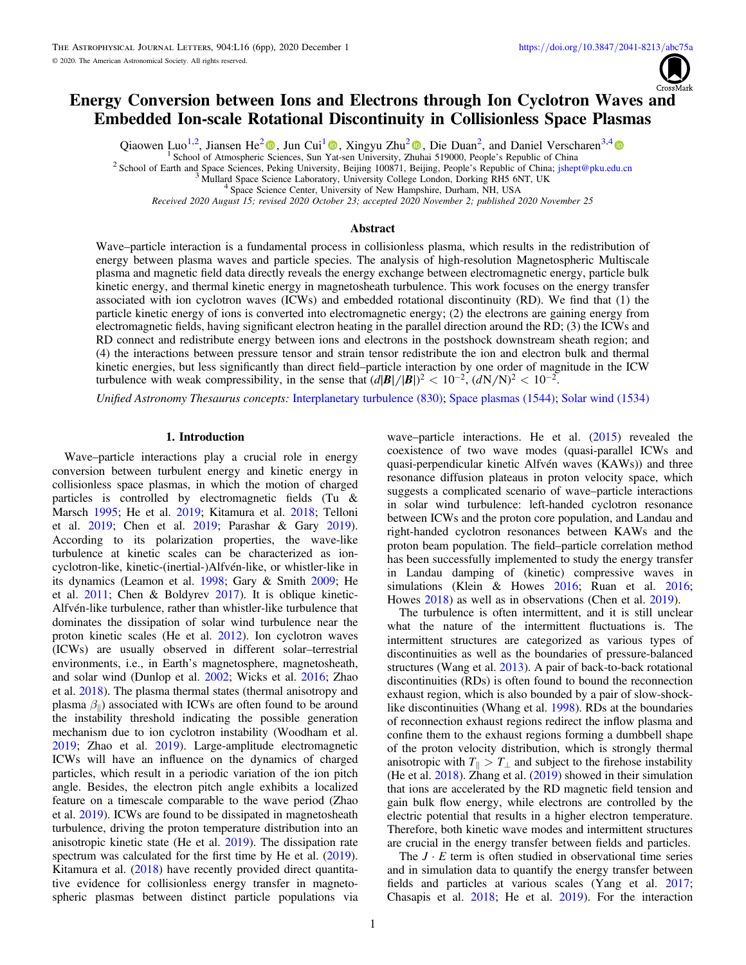# Energy Conversion between Ions and Electrons through Ion Cyclotron Waves and Embedded Ion-scale Rotational Discontinuity in Collisionless Space Plasmas

Qiaowen Luo<sup>1,[2](https://orcid.org/0000-0002-1541-6397)</sup>[,](https://orcid.org/0000-0002-1541-6397) Jiansen He<sup>2</sup> $\bullet$ , Jun Cui<sup>[1](https://orcid.org/0000-0002-4721-8184)</sup> $\bullet$ , Xingyu Zhu<sup>2</sup> $\bullet$ , Die Duan<sup>2</sup>, and Daniel Verscharen<sup>3,[4](https://orcid.org/0000-0002-0497-1096)</sup>

<sup>1</sup> [Sc](https://orcid.org/0000-0001-8179-417X)hool of Atmospheric Sciences, Sun [Yat](https://orcid.org/0000-0002-4721-8184)-sen University, Z[huh](https://orcid.org/0000-0002-1541-6397)ai 519000, People's Republic of China<br><sup>2</sup> School of Earth and Space Sciences, Peking University, Beijing 100871, Beijing, People's Republic of China; jshept@p

Received 2020 August 15; revised 2020 October 23; accepted 2020 November 2; published 2020 November 25

## Abstract

Wave–particle interaction is a fundamental process in collisionless plasma, which results in the redistribution of energy between plasma waves and particle species. The analysis of high-resolution Magnetospheric Multiscale plasma and magnetic field data directly reveals the energy exchange between electromagnetic energy, particle bulk kinetic energy, and thermal kinetic energy in magnetosheath turbulence. This work focuses on the energy transfer associated with ion cyclotron waves (ICWs) and embedded rotational discontinuity (RD). We find that (1) the particle kinetic energy of ions is converted into electromagnetic energy; (2) the electrons are gaining energy from electromagnetic fields, having significant electron heating in the parallel direction around the RD; (3) the ICWs and RD connect and redistribute energy between ions and electrons in the postshock downstream sheath region; and (4) the interactions between pressure tensor and strain tensor redistribute the ion and electron bulk and thermal kinetic energies, but less significantly than direct field–particle interaction by one order of magnitude in the ICW turbulence with weak compressibility, in the sense that  $(d|\mathbf{B}|/|\mathbf{B}|)^2 < 10^{-2}$ ,  $(dN/N)^2 < 10^{-2}$ .

Unified Astronomy Thesaurus concepts: [Interplanetary turbulence](http://astrothesaurus.org/uat/830) (830); [Space plasmas](http://astrothesaurus.org/uat/1544) (1544); [Solar wind](http://astrothesaurus.org/uat/1534) (1534)

## 1. Introduction

Wave–particle interactions play a crucial role in energy conversion between turbulent energy and kinetic energy in collisionless space plasmas, in which the motion of charged particles is controlled by electromagnetic fields (Tu & Marsch [1995;](#page-5-0) He et al. [2019;](#page-5-0) Kitamura et al. [2018;](#page-5-0) Telloni et al. [2019](#page-5-0); Chen et al. [2019;](#page-5-0) Parashar & Gary [2019](#page-5-0)). According to its polarization properties, the wave-like turbulence at kinetic scales can be characterized as ioncyclotron-like, kinetic-(inertial-)Alfvén-like, or whistler-like in its dynamics (Leamon et al. [1998](#page-5-0); Gary & Smith [2009](#page-5-0); He et al. [2011](#page-5-0); Chen & Boldyrev [2017](#page-5-0)). It is oblique kinetic-Alfvén-like turbulence, rather than whistler-like turbulence that dominates the dissipation of solar wind turbulence near the proton kinetic scales (He et al. [2012](#page-5-0)). Ion cyclotron waves (ICWs) are usually observed in different solar–terrestrial environments, i.e., in Earth's magnetosphere, magnetosheath, and solar wind (Dunlop et al. [2002;](#page-5-0) Wicks et al. [2016](#page-5-0); Zhao et al. [2018](#page-5-0)). The plasma thermal states (thermal anisotropy and plasma  $\beta_{\parallel}$ ) associated with ICWs are often found to be around the instability threshold indicating the possible generation mechanism due to ion cyclotron instability (Woodham et al. [2019;](#page-5-0) Zhao et al. [2019](#page-5-0)). Large-amplitude electromagnetic ICWs will have an influence on the dynamics of charged particles, which result in a periodic variation of the ion pitch angle. Besides, the electron pitch angle exhibits a localized feature on a timescale comparable to the wave period (Zhao et al. [2019](#page-5-0)). ICWs are found to be dissipated in magnetosheath turbulence, driving the proton temperature distribution into an anisotropic kinetic state (He et al. [2019](#page-5-0)). The dissipation rate spectrum was calculated for the first time by He et al. ([2019](#page-5-0)). Kitamura et al. ([2018](#page-5-0)) have recently provided direct quantitative evidence for collisionless energy transfer in magnetospheric plasmas between distinct particle populations via

wave–particle interactions. He et al. ([2015](#page-5-0)) revealed the coexistence of two wave modes (quasi-parallel ICWs and quasi-perpendicular kinetic Alfvén waves (KAWs)) and three resonance diffusion plateaus in proton velocity space, which suggests a complicated scenario of wave–particle interactions in solar wind turbulence: left-handed cyclotron resonance between ICWs and the proton core population, and Landau and right-handed cyclotron resonances between KAWs and the proton beam population. The field–particle correlation method has been successfully implemented to study the energy transfer in Landau damping of (kinetic) compressive waves in simulations (Klein & Howes [2016;](#page-5-0) Ruan et al. [2016](#page-5-0); Howes [2018](#page-5-0)) as well as in observations (Chen et al. [2019](#page-5-0)).

The turbulence is often intermittent, and it is still unclear what the nature of the intermittent fluctuations is. The intermittent structures are categorized as various types of discontinuities as well as the boundaries of pressure-balanced structures (Wang et al. [2013](#page-5-0)). A pair of back-to-back rotational discontinuities (RDs) is often found to bound the reconnection exhaust region, which is also bounded by a pair of slow-shocklike discontinuities (Whang et al. [1998](#page-5-0)). RDs at the boundaries of reconnection exhaust regions redirect the inflow plasma and confine them to the exhaust regions forming a dumbbell shape of the proton velocity distribution, which is strongly thermal anisotropic with  $T_{\parallel} > T_{\perp}$  and subject to the firehose instability (He et al. [2018](#page-5-0)). Zhang et al. ([2019](#page-5-0)) showed in their simulation that ions are accelerated by the RD magnetic field tension and gain bulk flow energy, while electrons are controlled by the electric potential that results in a higher electron temperature. Therefore, both kinetic wave modes and intermittent structures are crucial in the energy transfer between fields and particles.

The  $J \cdot E$  term is often studied in observational time series and in simulation data to quantify the energy transfer between fields and particles at various scales (Yang et al. [2017](#page-5-0); Chasapis et al. [2018;](#page-5-0) He et al. [2019](#page-5-0)). For the interaction

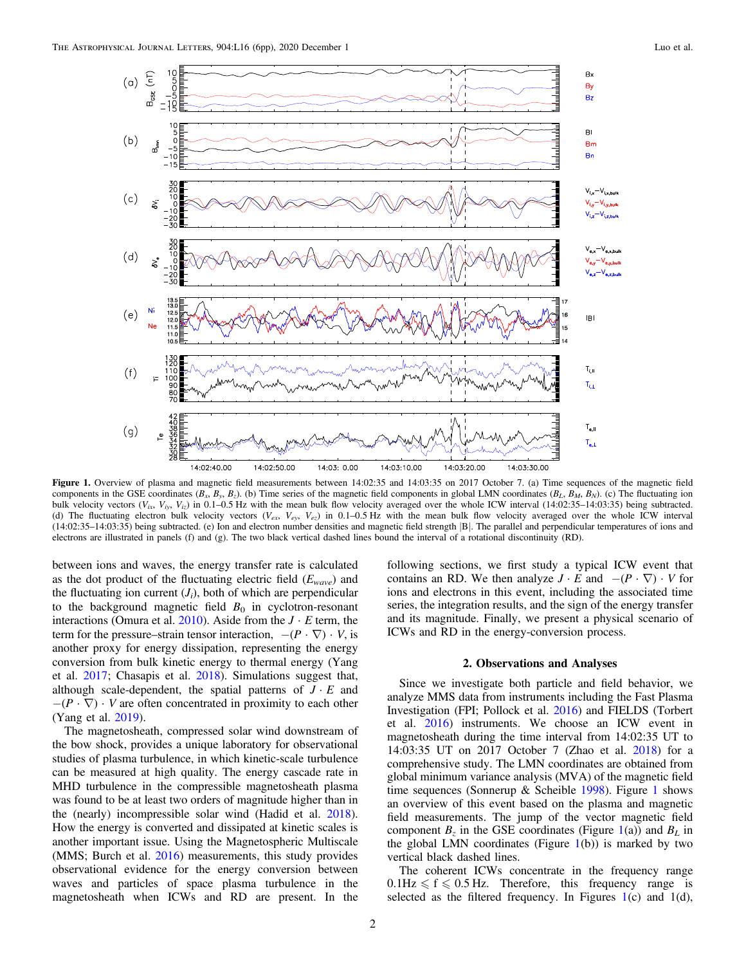<span id="page-1-0"></span>

Figure 1. Overview of plasma and magnetic field measurements between 14:02:35 and 14:03:35 on 2017 October 7. (a) Time sequences of the magnetic field components in the GSE coordinates  $(B_x, B_y, B_z)$ . (b) Time series of the magnetic field components in global LMN coordinates  $(B_L, B_M, B_N)$ . (c) The fluctuating ion bulk velocity vectors  $(V_i, V_i, V_i)$  in 0.1–0.5 Hz with the mean bulk flow velocity averaged over the whole ICW interval (14:02:35–14:03:35) being subtracted. (d) The fluctuating electron bulk velocity vectors ( $V_{ex}$ ,  $V_{ey}$ ,  $V_{ey}$ ) in 0.1–0.5 Hz with the mean bulk flow velocity averaged over the whole ICW interval (14:02:35–14:03:35) being subtracted. (e) Ion and electron number densities and magnetic field strength |B|. The parallel and perpendicular temperatures of ions and electrons are illustrated in panels (f) and (g). The two black vertical dashed lines bound the interval of a rotational discontinuity (RD).

between ions and waves, the energy transfer rate is calculated as the dot product of the fluctuating electric field  $(E_{wave})$  and the fluctuating ion current  $(J_i)$ , both of which are perpendicular to the background magnetic field  $B_0$  in cyclotron-resonant interactions (Omura et al. [2010](#page-5-0)). Aside from the  $J \cdot E$  term, the term for the pressure–strain tensor interaction,  $-(P \cdot \nabla) \cdot V$ , is another proxy for energy dissipation, representing the energy conversion from bulk kinetic energy to thermal energy (Yang et al. [2017](#page-5-0); Chasapis et al. [2018](#page-5-0)). Simulations suggest that, although scale-dependent, the spatial patterns of  $J \cdot E$  and  $-(P \cdot \nabla) \cdot V$  are often concentrated in proximity to each other (Yang et al. [2019](#page-5-0)).

The magnetosheath, compressed solar wind downstream of the bow shock, provides a unique laboratory for observational studies of plasma turbulence, in which kinetic-scale turbulence can be measured at high quality. The energy cascade rate in MHD turbulence in the compressible magnetosheath plasma was found to be at least two orders of magnitude higher than in the (nearly) incompressible solar wind (Hadid et al. [2018](#page-5-0)). How the energy is converted and dissipated at kinetic scales is another important issue. Using the Magnetospheric Multiscale (MMS; Burch et al. [2016](#page-5-0)) measurements, this study provides observational evidence for the energy conversion between waves and particles of space plasma turbulence in the magnetosheath when ICWs and RD are present. In the

following sections, we first study a typical ICW event that contains an RD. We then analyze  $J \cdot E$  and  $-(P \cdot \nabla) \cdot V$  for ions and electrons in this event, including the associated time series, the integration results, and the sign of the energy transfer and its magnitude. Finally, we present a physical scenario of ICWs and RD in the energy-conversion process.

## 2. Observations and Analyses

Since we investigate both particle and field behavior, we analyze MMS data from instruments including the Fast Plasma Investigation (FPI; Pollock et al. [2016](#page-5-0)) and FIELDS (Torbert et al. [2016](#page-5-0)) instruments. We choose an ICW event in magnetosheath during the time interval from 14:02:35 UT to 14:03:35 UT on 2017 October 7 (Zhao et al. [2018](#page-5-0)) for a comprehensive study. The LMN coordinates are obtained from global minimum variance analysis (MVA) of the magnetic field time sequences (Sonnerup & Scheible [1998](#page-5-0)). Figure 1 shows an overview of this event based on the plasma and magnetic field measurements. The jump of the vector magnetic field component  $B_z$  in the GSE coordinates (Figure 1(a)) and  $B_L$  in the global LMN coordinates (Figure  $1(b)$ ) is marked by two vertical black dashed lines.

The coherent ICWs concentrate in the frequency range  $0.1\text{Hz} \leqslant f \leqslant 0.5\text{Hz}$ . Therefore, this frequency range is selected as the filtered frequency. In Figures  $1(c)$  and  $1(d)$ ,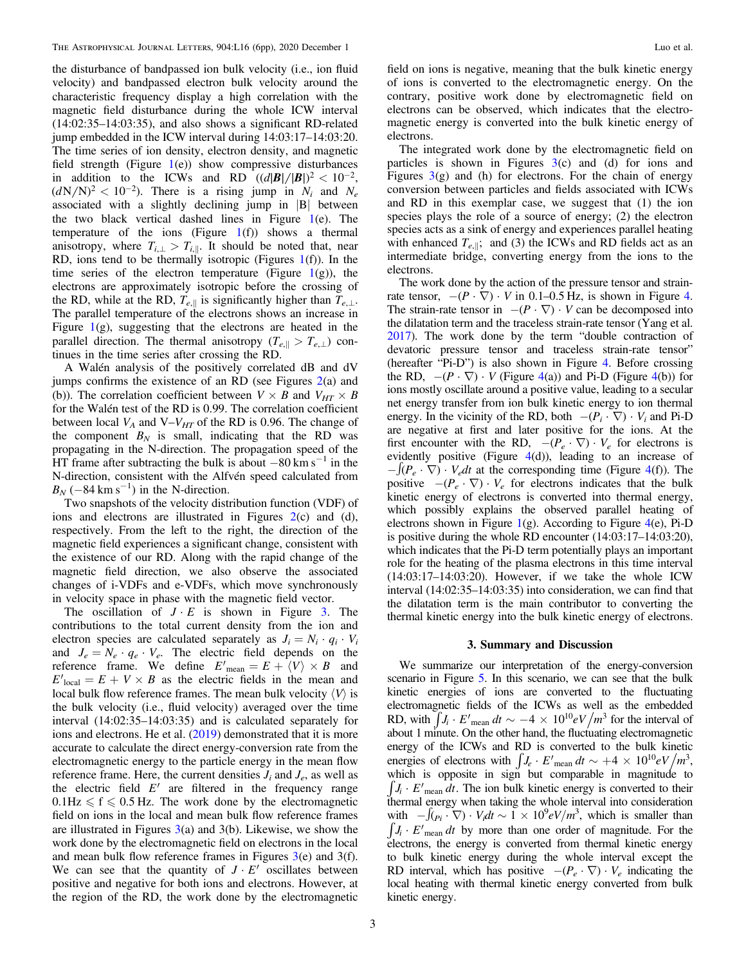the disturbance of bandpassed ion bulk velocity (i.e., ion fluid velocity) and bandpassed electron bulk velocity around the characteristic frequency display a high correlation with the magnetic field disturbance during the whole ICW interval (14:02:35–14:03:35), and also shows a significant RD-related jump embedded in the ICW interval during 14:03:17–14:03:20. The time series of ion density, electron density, and magnetic field strength (Figure  $1(e)$  $1(e)$ ) show compressive disturbances in addition to the ICWs and RD  $((d|B|/|B|)^2 < 10^{-2})$ ,  $(dN/N)^2 < 10^{-2}$ ). There is a rising jump in  $N_i$  and  $N_e$ associated with a slightly declining jump in |B| between the two black vertical dashed lines in Figure [1](#page-1-0)(e). The temperature of the ions (Figure  $1(f)$  $1(f)$ ) shows a thermal anisotropy, where  $T_{i,\perp} > T_{i,\parallel}$ . It should be noted that, near RD, ions tend to be thermally isotropic (Figures  $1(f)$  $1(f)$ ). In the time series of the electron temperature (Figure  $1(g)$  $1(g)$ ), the electrons are approximately isotropic before the crossing of the RD, while at the RD,  $T_{e, \parallel}$  is significantly higher than  $T_{e, \perp}$ . The parallel temperature of the electrons shows an increase in Figure  $1(g)$  $1(g)$ , suggesting that the electrons are heated in the parallel direction. The thermal anisotropy ( $T_{e,\parallel} > T_{e,\perp}$ ) continues in the time series after crossing the RD.

A Walén analysis of the positively correlated dB and dV jumps confirms the existence of an RD (see Figures [2](#page-3-0)(a) and (b)). The correlation coefficient between  $V \times B$  and  $V_{HT} \times B$ for the Walén test of the RD is 0.99. The correlation coefficient between local  $V_A$  and  $V-V_{HT}$  of the RD is 0.96. The change of the component  $B_N$  is small, indicating that the RD was propagating in the N-direction. The propagation speed of the HT frame after subtracting the bulk is about  $-80 \text{ km s}^{-1}$  in the N-direction, consistent with the Alfvén speed calculated from  $B_N$  (-84 km s<sup>-1</sup>) in the N-direction.

Two snapshots of the velocity distribution function (VDF) of ions and electrons are illustrated in Figures  $2(c)$  $2(c)$  and  $(d)$ , respectively. From the left to the right, the direction of the magnetic field experiences a significant change, consistent with the existence of our RD. Along with the rapid change of the magnetic field direction, we also observe the associated changes of i-VDFs and e-VDFs, which move synchronously in velocity space in phase with the magnetic field vector.

The oscillation of  $J \cdot E$  is shown in Figure [3.](#page-4-0) The contributions to the total current density from the ion and electron species are calculated separately as  $J_i = N_i \cdot q_i \cdot V_i$ and  $J_e = N_e \cdot q_e \cdot V_e$ . The electric field depends on the reference frame. We define  $E'$ <sub>mean</sub> =  $E + \langle V \rangle \times B$  and  $E'_{local} = E + V \times B$  as the electric fields in the mean and local bulk flow reference frames. The mean bulk velocity  $\langle V \rangle$  is the bulk velocity (i.e., fluid velocity) averaged over the time interval (14:02:35–14:03:35) and is calculated separately for ions and electrons. He et al. ([2019](#page-5-0)) demonstrated that it is more accurate to calculate the direct energy-conversion rate from the electromagnetic energy to the particle energy in the mean flow reference frame. Here, the current densities  $J_i$  and  $J_e$ , as well as the electric field  $E'$  are filtered in the frequency range  $0.1\text{Hz} \leqslant f \leqslant 0.5\text{Hz}$ . The work done by the electromagnetic field on ions in the local and mean bulk flow reference frames are illustrated in Figures  $3(a)$  $3(a)$  and  $3(b)$ . Likewise, we show the work done by the electromagnetic field on electrons in the local and mean bulk flow reference frames in Figures [3](#page-4-0)(e) and 3(f). We can see that the quantity of  $J \cdot E'$  oscillates between positive and negative for both ions and electrons. However, at the region of the RD, the work done by the electromagnetic

field on ions is negative, meaning that the bulk kinetic energy of ions is converted to the electromagnetic energy. On the contrary, positive work done by electromagnetic field on electrons can be observed, which indicates that the electromagnetic energy is converted into the bulk kinetic energy of electrons.

The integrated work done by the electromagnetic field on particles is shown in Figures  $3(c)$  $3(c)$  and (d) for ions and Figures  $3(g)$  $3(g)$  and (h) for electrons. For the chain of energy conversion between particles and fields associated with ICWs and RD in this exemplar case, we suggest that (1) the ion species plays the role of a source of energy; (2) the electron species acts as a sink of energy and experiences parallel heating with enhanced  $T_{e, \parallel}$ ; and (3) the ICWs and RD fields act as an intermediate bridge, converting energy from the ions to the electrons.

The work done by the action of the pressure tensor and strainrate tensor,  $-(P \cdot \nabla) \cdot V$  in 0.1–0.5 Hz, is shown in Figure [4](#page-4-0). The strain-rate tensor in  $-(P \cdot \nabla) \cdot V$  can be decomposed into the dilatation term and the traceless strain-rate tensor (Yang et al. [2017](#page-5-0)). The work done by the term "double contraction of devatoric pressure tensor and traceless strain-rate tensor" (hereafter "Pi-D") is also shown in Figure [4.](#page-4-0) Before crossing the RD,  $-(P \cdot \nabla) \cdot V$  (Figure [4](#page-4-0)(a)) and Pi-D (Figure 4(b)) for ions mostly oscillate around a positive value, leading to a secular net energy transfer from ion bulk kinetic energy to ion thermal energy. In the vicinity of the RD, both  $-(P_i \cdot \nabla) \cdot V_i$  and Pi-D are negative at first and later positive for the ions. At the first encounter with the RD,  $-(P_e \cdot \nabla) \cdot V_e$  for electrons is evidently positive (Figure  $4(d)$  $4(d)$ ), leading to an increase of  $-[ (P_e \cdot \nabla) \cdot V_e dt]$  at the corresponding time (Figure [4](#page-4-0)(f)). The positive  $-(P_e \cdot \nabla) \cdot V_e$  for electrons indicates that the bulk kinetic energy of electrons is converted into thermal energy, which possibly explains the observed parallel heating of electrons shown in Figure [1](#page-1-0)(g). According to Figure  $4(e)$  $4(e)$ , Pi-D is positive during the whole RD encounter (14:03:17–14:03:20), which indicates that the Pi-D term potentially plays an important role for the heating of the plasma electrons in this time interval (14:03:17–14:03:20). However, if we take the whole ICW interval (14:02:35–14:03:35) into consideration, we can find that the dilatation term is the main contributor to converting the thermal kinetic energy into the bulk kinetic energy of electrons.

#### 3. Summary and Discussion

We summarize our interpretation of the energy-conversion scenario in Figure [5.](#page-5-0) In this scenario, we can see that the bulk kinetic energies of ions are converted to the fluctuating electromagnetic fields of the ICWs as well as the embedded RD, with  $\int J_i \cdot E'_{\text{mean}} dt \sim -4 \times 10^{10} eV/m^3$  for the interval of about 1 minute. On the other hand, the fluctuating electromagnetic energy of the ICWs and RD is converted to the bulk kinetic energies of electrons with  $\int J_e \cdot E'_{\text{mean}} dt \sim +4 \times 10^{10} eV/m^3$ , which is opposite in sign but comparable in magnitude to  $J_i \cdot E'$ <sub>mean</sub> dt. The ion bulk kinetic energy is converted to their thermal energy when taking the whole interval into consideration with  $-\int_{(P_i \cdot \nabla)} \cdot V_i dt \sim 1 \times 10^9 eV/m^3$ , which is smaller than  $J_i \cdot E'$ <sub>mean</sub> dt by more than one order of magnitude. For the electrons, the energy is converted from thermal kinetic energy to bulk kinetic energy during the whole interval except the RD interval, which has positive  $-(P_e \cdot \nabla) \cdot V_e$  indicating the local heating with thermal kinetic energy converted from bulk kinetic energy.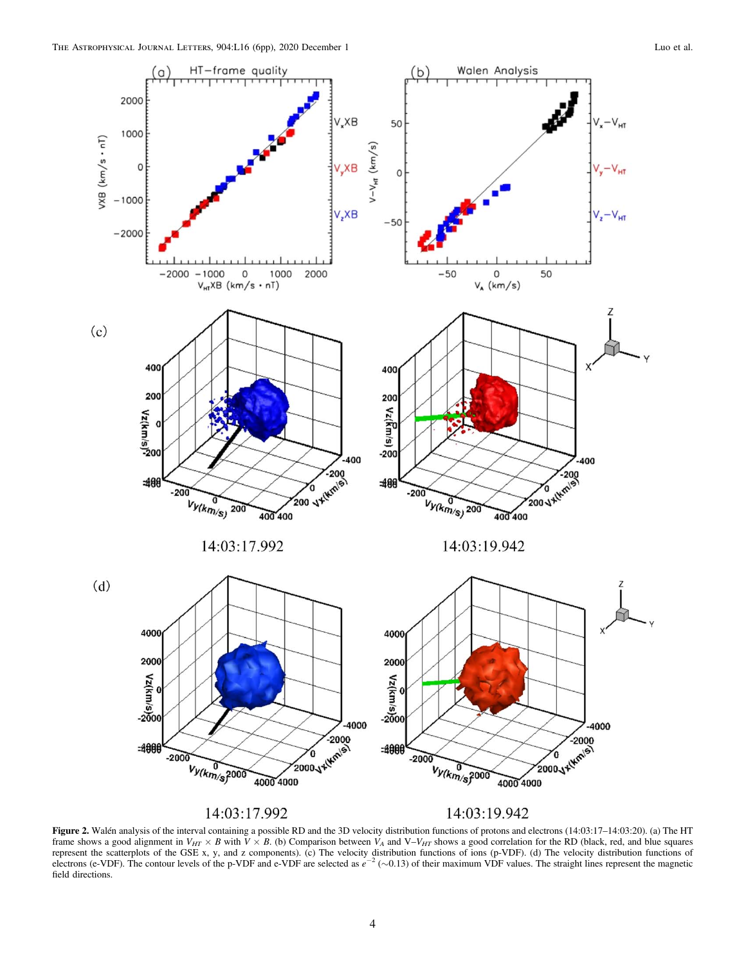<span id="page-3-0"></span>

Figure 2. Walén analysis of the interval containing a possible RD and the 3D velocity distribution functions of protons and electrons (14:03:17–14:03:20). (a) The HT frame shows a good alignment in  $V_{HT} \times B$  with  $V \times B$ . (b) Comparison between  $V_A$  and  $V-V_{HT}$  shows a good correlation for the RD (black, red, and blue squares represent the scatterplots of the GSE x, y, and z components). (c) The velocity distribution functions of ions (p-VDF). (d) The velocity distribution functions of electrons (e-VDF). The contour levels of the p-VDF and e-VDF are selected as  $e^{-2}$  ( $\sim$ 0.13) of their maximum VDF values. The straight lines represent the magnetic field directions.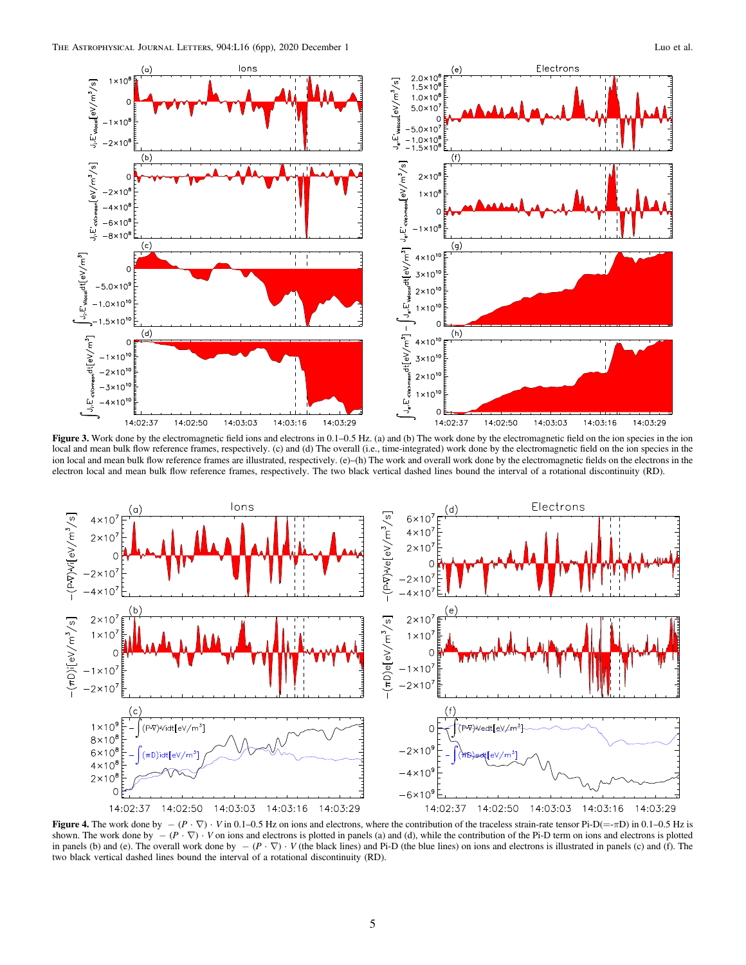<span id="page-4-0"></span>

Figure 3. Work done by the electromagnetic field ions and electrons in  $0.1-0.5$  Hz. (a) and (b) The work done by the electromagnetic field on the ion species in the ion local and mean bulk flow reference frames, respectively. (c) and (d) The overall (i.e., time-integrated) work done by the electromagnetic field on the ion species in the ion local and mean bulk flow reference frames are illustrated, respectively. (e)–(h) The work and overall work done by the electromagnetic fields on the electrons in the electron local and mean bulk flow reference frames, respectively. The two black vertical dashed lines bound the interval of a rotational discontinuity (RD).



Figure 4. The work done by  $-(P \cdot \nabla) \cdot V$  in 0.1–0.5 Hz on ions and electrons, where the contribution of the traceless strain-rate tensor Pi-D(=-πD) in 0.1–0.5 Hz is shown. The work done by  $-(P \cdot \nabla) \cdot V$  on ions and electrons is plotted in panels (a) and (d), while the contribution of the Pi-D term on ions and electrons is plotted in panels (b) and (e). The overall work done by  $-(P \cdot \nabla) \cdot V$  (the black lines) and Pi-D (the blue lines) on ions and electrons is illustrated in panels (c) and (f). The two black vertical dashed lines bound the interval of a rotational discontinuity (RD).